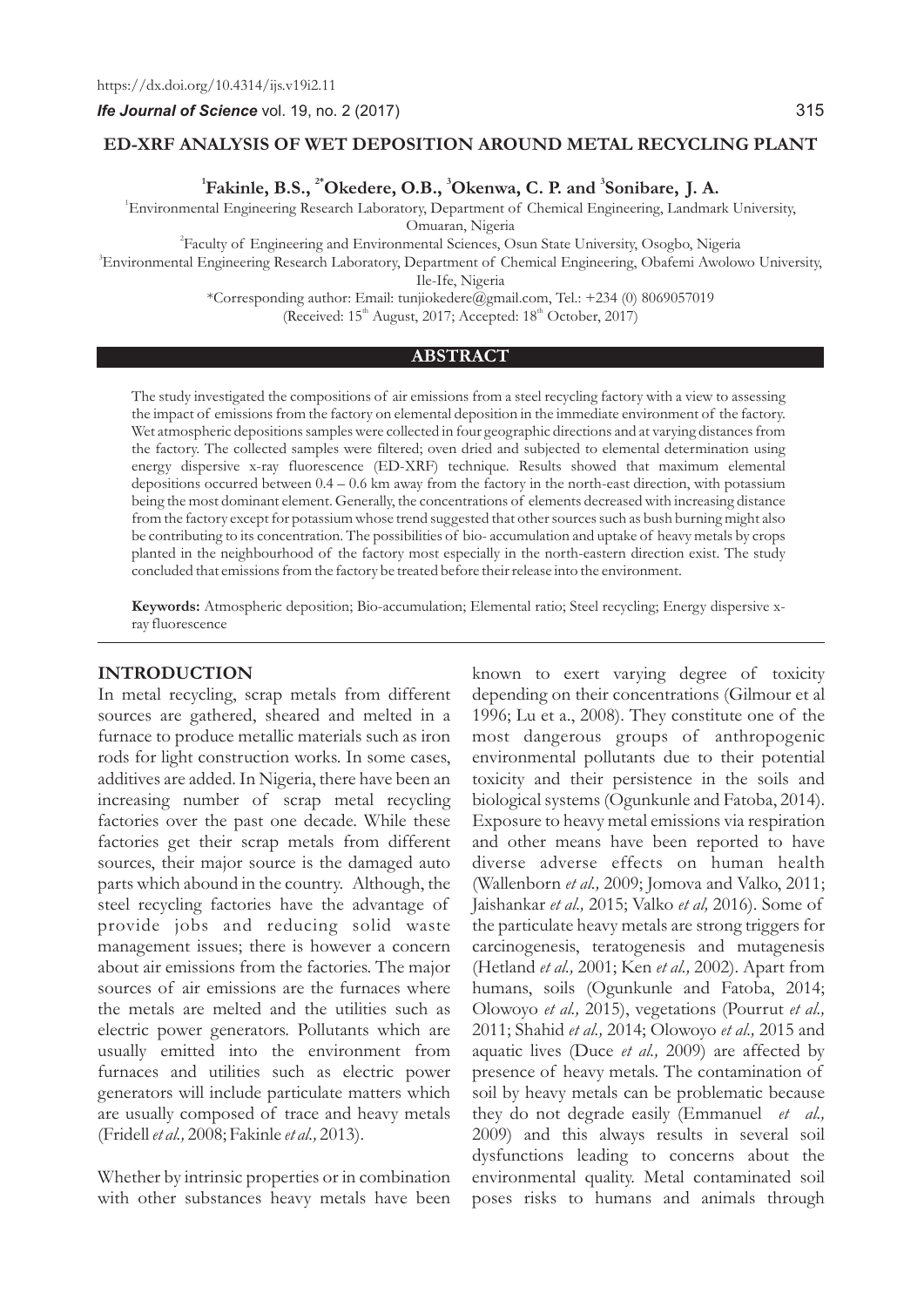#### **ED-XRF ANALYSIS OF WET DEPOSITION AROUND METAL RECYCLING PLANT**

 $^1$ Fakinle, B.S.,  $^{2*}$ Okedere, O.B.,  $^3$ Okenwa, C. P. and  $^3$ Sonibare, J. A.

1 Environmental Engineering Research Laboratory, Department of Chemical Engineering, Landmark University,

Omuaran, Nigeria

2 Faculty of Engineering and Environmental Sciences, Osun State University, Osogbo, Nigeria 3 Environmental Engineering Research Laboratory, Department of Chemical Engineering, Obafemi Awolowo University,

Ile-Ife, Nigeria

\*Corresponding author: Email: tunjiokedere@gmail.com, Tel.: +234 (0) 8069057019 (Received:  $15<sup>th</sup>$  August, 2017; Accepted:  $18<sup>th</sup>$  October, 2017)

#### **ABSTRACT**

The study investigated the compositions of air emissions from a steel recycling factory with a view to assessing the impact of emissions from the factory on elemental deposition in the immediate environment of the factory. Wet atmospheric depositions samples were collected in four geographic directions and at varying distances from the factory. The collected samples were filtered; oven dried and subjected to elemental determination using energy dispersive x-ray fluorescence (ED-XRF) technique. Results showed that maximum elemental depositions occurred between  $0.4 - 0.6$  km away from the factory in the north-east direction, with potassium being the most dominant element. Generally, the concentrations of elements decreased with increasing distance from the factory except for potassium whose trend suggested that other sources such as bush burning might also be contributing to its concentration. The possibilities of bio- accumulation and uptake of heavy metals by crops planted in the neighbourhood of the factory most especially in the north-eastern direction exist. The study concluded that emissions from the factory be treated before their release into the environment.

**Keywords:** Atmospheric deposition; Bio-accumulation; Elemental ratio; Steel recycling; Energy dispersive xray fluorescence

#### **INTRODUCTION**

In metal recycling, scrap metals from different sources are gathered, sheared and melted in a furnace to produce metallic materials such as iron rods for light construction works. In some cases, additives are added. In Nigeria, there have been an increasing number of scrap metal recycling factories over the past one decade. While these factories get their scrap metals from different sources, their major source is the damaged auto parts which abound in the country. Although, the steel recycling factories have the advantage of provide jobs and reducing solid waste management issues; there is however a concern about air emissions from the factories. The major sources of air emissions are the furnaces where the metals are melted and the utilities such as electric power generators. Pollutants which are usually emitted into the environment from furnaces and utilities such as electric power generators will include particulate matters which are usually composed of trace and heavy metals (Fridell *et al.,* 2008; Fakinle *et al.,* 2013).

Whether by intrinsic properties or in combination with other substances heavy metals have been

known to exert varying degree of toxicity depending on their concentrations (Gilmour et al 1996; Lu et a., 2008). They constitute one of the most dangerous groups of anthropogenic environmental pollutants due to their potential toxicity and their persistence in the soils and biological systems (Ogunkunle and Fatoba, 2014). Exposure to heavy metal emissions via respiration and other means have been reported to have diverse adverse effects on human health (Wallenborn *et al.,* 2009; Jomova and Valko, 2011; Jaishankar *et al.,* 2015; Valko *et al,* 2016). Some of the particulate heavy metals are strong triggers for carcinogenesis, teratogenesis and mutagenesis (Hetland *et al.,* 2001; Ken *et al.,* 2002). Apart from humans, soils (Ogunkunle and Fatoba, 2014; Olowoyo *et al.,* 2015), vegetations (Pourrut *et al.,* 2011; Shahid *et al.,* 2014; Olowoyo *et al.,* 2015 and aquatic lives (Duce *et al.,* 2009) are affected by presence of heavy metals. The contamination of soil by heavy metals can be problematic because they do not degrade easily (Emmanuel *et al.,* 2009) and this always results in several soil dysfunctions leading to concerns about the environmental quality. Metal contaminated soil poses risks to humans and animals through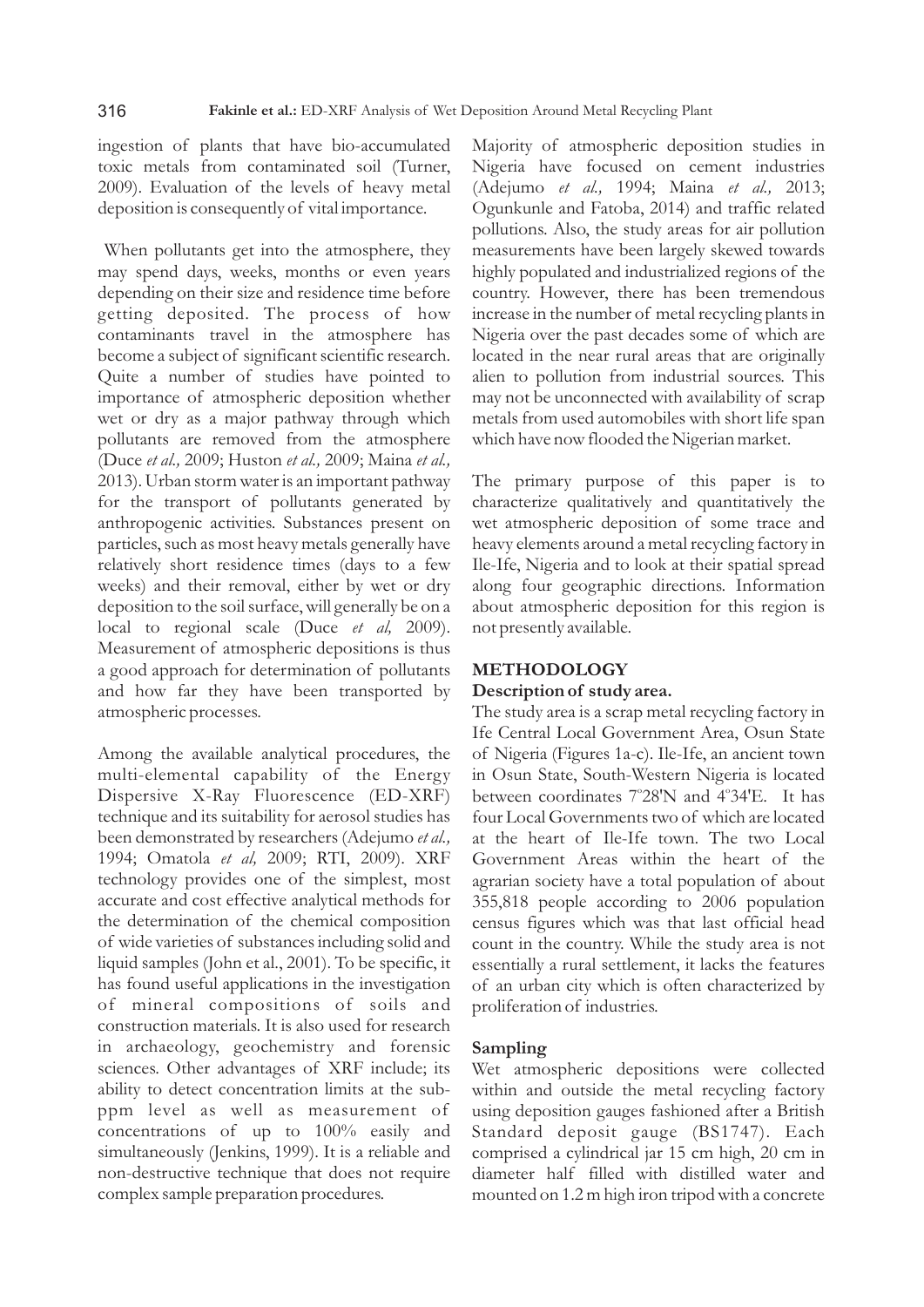ingestion of plants that have bio-accumulated toxic metals from contaminated soil (Turner, 2009). Evaluation of the levels of heavy metal deposition is consequently of vital importance.

When pollutants get into the atmosphere, they may spend days, weeks, months or even years depending on their size and residence time before getting deposited. The process of how contaminants travel in the atmosphere has become a subject of significant scientific research. Quite a number of studies have pointed to importance of atmospheric deposition whether wet or dry as a major pathway through which pollutants are removed from the atmosphere (Duce *et al.,* 2009; Huston *et al.,* 2009; Maina *et al.,* 2013). Urban storm water is an important pathway for the transport of pollutants generated by anthropogenic activities. Substances present on particles, such as most heavy metals generally have relatively short residence times (days to a few weeks) and their removal, either by wet or dry deposition to the soil surface, will generally be on a local to regional scale (Duce *et al,* 2009). Measurement of atmospheric depositions is thus a good approach for determination of pollutants and how far they have been transported by atmospheric processes.

Among the available analytical procedures, the multi-elemental capability of the Energy Dispersive X-Ray Fluorescence (ED-XRF) technique and its suitability for aerosol studies has been demonstrated by researchers (Adejumo *et al.,* 1994; Omatola *et al,* 2009; RTI, 2009). XRF technology provides one of the simplest, most accurate and cost effective analytical methods for the determination of the chemical composition of wide varieties of substances including solid and liquid samples (John et al., 2001). To be specific, it has found useful applications in the investigation of mineral compositions of soils and construction materials. It is also used for research in archaeology, geochemistry and forensic sciences. Other advantages of XRF include; its ability to detect concentration limits at the subppm level as well as measurement of concentrations of up to 100% easily and simultaneously (Jenkins, 1999). It is a reliable and non-destructive technique that does not require complex sample preparation procedures.

Majority of atmospheric deposition studies in Nigeria have focused on cement industries (Adejumo *et al.,* 1994; Maina *et al.,* 2013; Ogunkunle and Fatoba, 2014) and traffic related pollutions. Also, the study areas for air pollution measurements have been largely skewed towards highly populated and industrialized regions of the country. However, there has been tremendous increase in the number of metal recycling plants in Nigeria over the past decades some of which are located in the near rural areas that are originally alien to pollution from industrial sources. This may not be unconnected with availability of scrap metals from used automobiles with short life span which have now flooded the Nigerian market.

The primary purpose of this paper is to characterize qualitatively and quantitatively the wet atmospheric deposition of some trace and heavy elements around a metal recycling factory in Ile-Ife, Nigeria and to look at their spatial spread along four geographic directions. Information about atmospheric deposition for this region is not presently available.

# **METHODOLOGY**

# **Description of study area.**

The study area is a scrap metal recycling factory in Ife Central Local Government Area, Osun State of Nigeria (Figures 1a-c). Ile-Ife, an ancient town in Osun State, South-Western Nigeria is located between coordinates 7°28'N and 4°34'E. It has four Local Governments two of which are located at the heart of Ile-Ife town. The two Local Government Areas within the heart of the agrarian society have a total population of about 355,818 people according to 2006 population census figures which was that last official head count in the country. While the study area is not essentially a rural settlement, it lacks the features of an urban city which is often characterized by proliferation of industries.

# **Sampling**

Wet atmospheric depositions were collected within and outside the metal recycling factory using deposition gauges fashioned after a British Standard deposit gauge (BS1747). Each comprised a cylindrical jar 15 cm high, 20 cm in diameter half filled with distilled water and mounted on 1.2 m high iron tripod with a concrete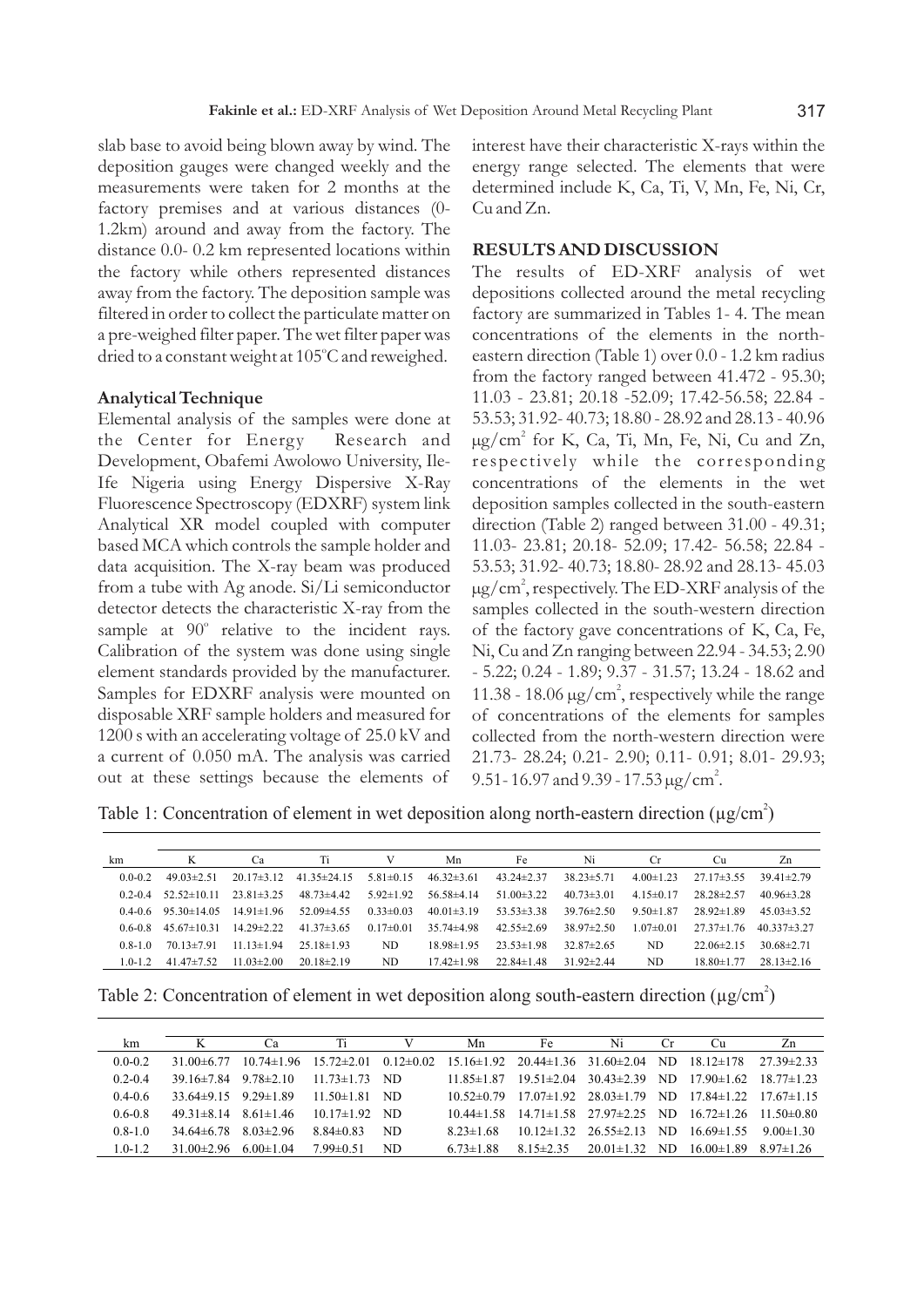slab base to avoid being blown away by wind. The deposition gauges were changed weekly and the measurements were taken for 2 months at the factory premises and at various distances (0- 1.2km) around and away from the factory. The distance 0.0- 0.2 km represented locations within the factory while others represented distances away from the factory. The deposition sample was filtered in order to collect the particulate matter on a pre-weighed filter paper. The wet filter paper was dried to a constant weight at 105°C and reweighed.

#### **Analytical Technique**

Elemental analysis of the samples were done at the Center for Energy Research and Development, Obafemi Awolowo University, Ile-Ife Nigeria using Energy Dispersive X-Ray Fluorescence Spectroscopy (EDXRF) system link Analytical XR model coupled with computer based MCA which controls the sample holder and data acquisition. The X-ray beam was produced from a tube with Ag anode. Si/Li semiconductor detector detects the characteristic X-ray from the sample at 90° relative to the incident rays. Calibration of the system was done using single element standards provided by the manufacturer. Samples for EDXRF analysis were mounted on disposable XRF sample holders and measured for 1200 s with an accelerating voltage of 25.0 kV and a current of 0.050 mA. The analysis was carried out at these settings because the elements of

interest have their characteristic X-rays within the energy range selected. The elements that were determined include K, Ca, Ti, V, Mn, Fe, Ni, Cr, Cu and Zn.

#### **RESULTS AND DISCUSSION**

The results of ED-XRF analysis of wet depositions collected around the metal recycling factory are summarized in Tables 1- 4. The mean concentrations of the elements in the northeastern direction (Table 1) over 0.0 - 1.2 km radius from the factory ranged between 41.472 - 95.30; 11.03 - 23.81; 20.18 -52.09; 17.42-56.58; 22.84 - 53.53; 31.92- 40.73; 18.80 - 28.92 and 28.13 - 40.96  $\mu$ g/cm<sup>2</sup> for K, Ca, Ti, Mn, Fe, Ni, Cu and Zn, respectively while the corresponding concentrations of the elements in the wet deposition samples collected in the south-eastern direction (Table 2) ranged between 31.00 - 49.31; 11.03- 23.81; 20.18- 52.09; 17.42- 56.58; 22.84 - 53.53; 31.92- 40.73; 18.80- 28.92 and 28.13- 45.03  $\mu$ g/cm<sup>2</sup>, respectively. The ED-XRF analysis of the samples collected in the south-western direction of the factory gave concentrations of K, Ca, Fe, Ni, Cu and Zn ranging between 22.94 - 34.53; 2.90 - 5.22; 0.24 - 1.89; 9.37 - 31.57; 13.24 - 18.62 and 11.38 - 18.06  $\mu$ g/cm<sup>2</sup>, respectively while the range of concentrations of the elements for samples collected from the north-western direction were 21.73- 28.24; 0.21- 2.90; 0.11- 0.91; 8.01- 29.93; 9.51 - 16.97 and 9.39 - 17.53  $\mu$ g/cm<sup>2</sup>.

Table 1: Concentration of element in wet deposition along north-eastern direction ( $\mu$ g/cm<sup>2</sup>)

| km          | K                 | Ca               | Ti                | V               | Mn               | Fe               | Ni               | Cr.             | Cu               | Zn                |
|-------------|-------------------|------------------|-------------------|-----------------|------------------|------------------|------------------|-----------------|------------------|-------------------|
| $0.0 - 0.2$ | $49.03+2.51$      | $20.17\pm3.12$   | $41.35 \pm 24.15$ | $5.81 \pm 0.15$ | $46.32\pm3.61$   | $43.24 \pm 2.37$ | $38.23 \pm 5.71$ | $4.00 \pm 1.23$ | $27.17\pm3.55$   | $39.41 \pm 2.79$  |
| $02-04$     | $52.52 \pm 10.11$ | $23.81 \pm 3.25$ | $48.73\pm4.42$    | $5.92 \pm 1.92$ | $56.58\pm4.14$   | $51.00\pm3.22$   | $40.73 \pm 3.01$ | $415+017$       | $2828+257$       | $40.96 \pm 3.28$  |
| $0.4 - 0.6$ | $9530+1405$       | $14.91 \pm 1.96$ | $52.09\pm4.55$    | $0.33 \pm 0.03$ | $40.01\pm3.19$   | $53.53 \pm 3.38$ | $39.76 \pm 2.50$ | $9.50 \pm 1.87$ | $2892+189$       | $45.03\pm3.52$    |
| 0.6-0.8     | $45.67 \pm 10.31$ | $14.29 \pm 2.22$ | $41.37\pm3.65$    | $0.17 \pm 0.01$ | $35.74 \pm 4.98$ | $42.55+2.69$     | $38.97 \pm 2.50$ | $1.07 \pm 0.01$ | $2737+176$       | $40.337 \pm 3.27$ |
| $0.8 - 1.0$ | $70.13 \pm 7.91$  | $11.13 \pm 1.94$ | $2518+193$        | ND.             | $18.98 \pm 1.95$ | $2353+198$       | $32.87 \pm 2.65$ | ND.             | $22.06\pm2.15$   | $30.68 \pm 2.71$  |
| $1.0 - 1.2$ | $41.47 \pm 7.52$  | $11.03 \pm 2.00$ | $20.18\pm2.19$    | ND.             | $17.42 \pm 1.98$ | $22.84 \pm 1.48$ | $31.92 \pm 2.44$ | ND.             | $18.80 \pm 1.77$ | $28.13 \pm 2.16$  |

Table 2: Concentration of element in wet deposition along south-eastern direction ( $\mu$ g/cm<sup>2</sup>)

| km          |                                  | Ca                                                         | Ti                  |      | Mn                                                    | Fe                                                                            | Ni                                   | €.r | Cu                                  | Zn               |
|-------------|----------------------------------|------------------------------------------------------------|---------------------|------|-------------------------------------------------------|-------------------------------------------------------------------------------|--------------------------------------|-----|-------------------------------------|------------------|
| $0.0 - 0.2$ |                                  | $31.00\pm6.77$ $10.74\pm1.96$ $15.72\pm2.01$ $0.12\pm0.02$ |                     |      | $15.16 \pm 1.92$ $20.44 \pm 1.36$ $31.60 \pm 2.04$ ND |                                                                               |                                      |     | $1812\pm178$                        | $27.39 \pm 2.33$ |
| $0.2 - 0.4$ | $39.16\pm7.84$ 9.78 $\pm2.10$    |                                                            | $11.73 \pm 1.73$ ND |      | $11.85 \pm 1.87$                                      | $19.51 \pm 2.04$ $30.43 \pm 2.39$ ND                                          |                                      |     | $17.90 \pm 1.62$ 18.77 $\pm$ 1.23   |                  |
| $04-06$     | $33.64\pm9.15$ 9.29 $\pm1.89$    |                                                            | $11.50 \pm 1.81$    | - ND |                                                       | $10.52\pm0.79$ $17.07\pm1.92$ $28.03\pm1.79$ ND $17.84\pm1.22$ $17.67\pm1.15$ |                                      |     |                                     |                  |
| $0.6 - 0.8$ | $49.31 \pm 8.14$ $8.61 \pm 1.46$ |                                                            | $10.17 \pm 1.92$ ND |      |                                                       | $10.44\pm1.58$ $14.71\pm1.58$ $27.97\pm2.25$ ND                               |                                      |     | $16\ 72 \pm 1\ 26$ 11.50 $\pm$ 0.80 |                  |
| $0.8 - 1.0$ | 34 64±6 78                       | $8.03\pm2.96$                                              | $8.84\pm0.83$       | ND.  | $823 \pm 168$                                         |                                                                               | $10.12 \pm 1.32$ $26.55 \pm 2.13$ ND |     | $1669\pm155$                        | 900±130          |
| $1.0 - 1.2$ | $31.00\pm2.96$                   | $6.00 \pm 1.04$                                            | $799 \pm 0.51$      | ND.  | $6.73 \pm 1.88$                                       | $8.15 \pm 2.35$                                                               | $20.01 \pm 1.32$                     | ND. | $16.00 \pm 1.89$                    | $897\pm126$      |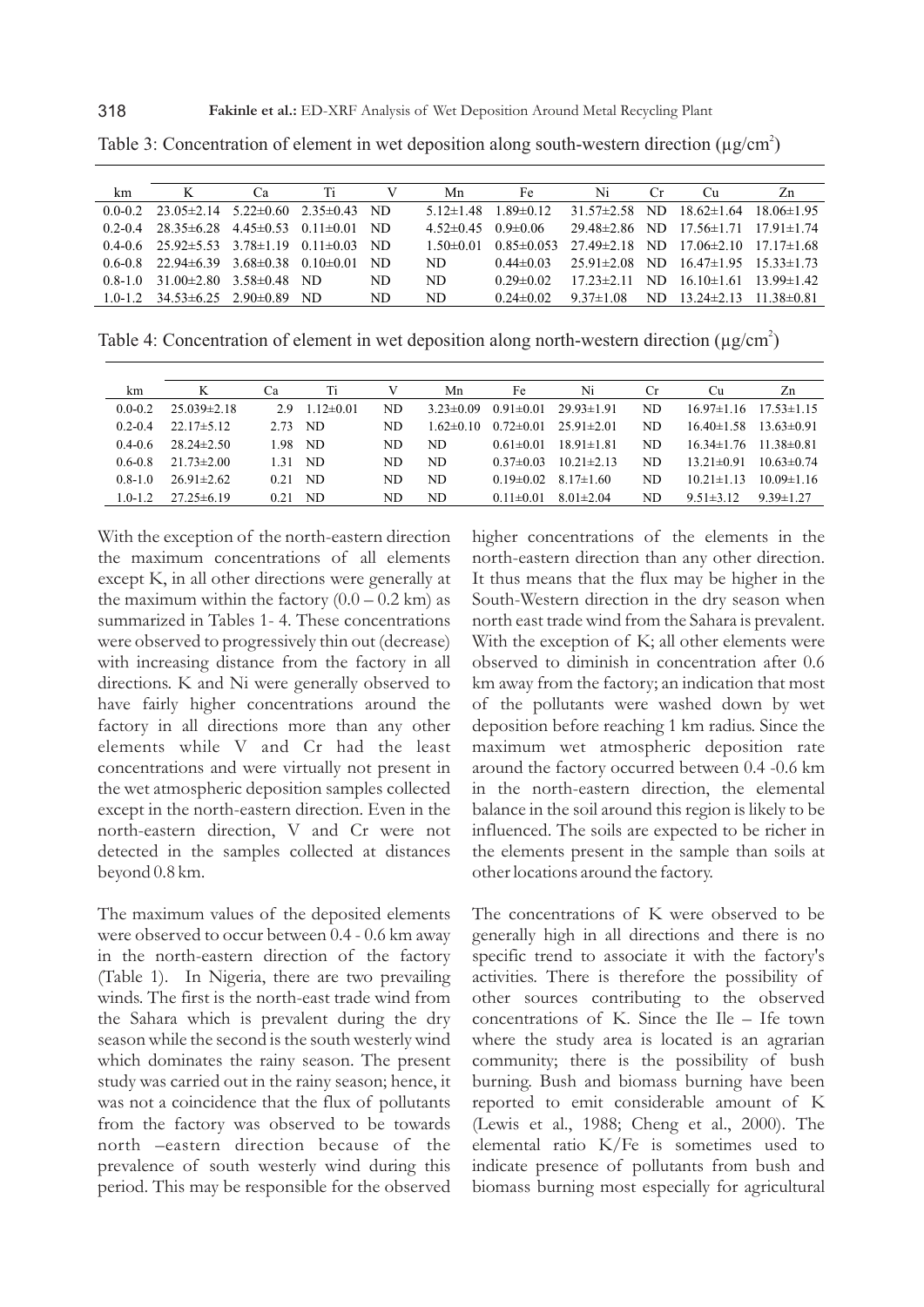| km          | K                                                | Ca              | Ti              | v    | Mn              | Fe               | Ni              | Cr. | Cu.                                                   | Zn               |
|-------------|--------------------------------------------------|-----------------|-----------------|------|-----------------|------------------|-----------------|-----|-------------------------------------------------------|------------------|
| $0.0 - 0.2$ | $23.05\pm2.14$ $5.22\pm0.60$ $2.35\pm0.43$ ND    |                 |                 |      | $5.12 \pm 1.48$ | $1.89 \pm 0.12$  |                 |     | $31.57\pm2.58$ ND $18.62\pm1.64$                      | $18.06 \pm 1.95$ |
| $0.2 - 0.4$ | $28.35\pm 6.28$                                  | $4.45 \pm 0.53$ | $0.11 \pm 0.01$ | - ND | $4.52 \pm 0.45$ | $0.9 \pm 0.06$   |                 |     | $29.48\pm2.86$ ND $17.56\pm1.71$ $17.91\pm1.74$       |                  |
| $0.4 - 0.6$ | $25.92 \pm 5.53$ $3.78 \pm 1.19$ $0.11 \pm 0.03$ |                 |                 | - ND | $1,50+0,01$     | $0.85 \pm 0.053$ |                 |     | $27.49 \pm 2.18$ ND $17.06 \pm 2.10$ $17.17 \pm 1.68$ |                  |
| $0.6 - 0.8$ | $22.94\pm 6.39$ $3.68\pm 0.38$                   |                 | $0.10 \pm 0.01$ | ND   | ND.             | $0.44\pm0.03$    |                 |     | $25.91\pm2.08$ ND $16.47\pm1.95$ $15.33\pm1.73$       |                  |
| $0.8 - 1.0$ | $31.00\pm2.80$                                   | $3.58 \pm 0.48$ | ND.             | ND   | ND.             | $0.29 + 0.02$    | $1723+211$      |     | ND $16.10\pm1.61$ $13.99\pm1.42$                      |                  |
| $1.0 - 1.2$ | $34.53\pm 6.25$ $2.90\pm 0.89$                   |                 | - ND            | ND   | ND              | $0.24 \pm 0.02$  | $9.37 \pm 1.08$ | ND. | $13.24 \pm 2.13$ $11.38 \pm 0.81$                     |                  |

Table 3: Concentration of element in wet deposition along south-western direction ( $\mu$ g/cm<sup>2</sup>)

Table 4: Concentration of element in wet deposition along north-western direction ( $\mu$ g/cm<sup>2</sup>)

| km          | K                | Ca   | Ti              | V   | Mn              | Fe              | Ni               | Сr  | Cu               | Zn               |
|-------------|------------------|------|-----------------|-----|-----------------|-----------------|------------------|-----|------------------|------------------|
| $0.0 - 0.2$ | $25.039\pm2.18$  | 29   | $1.12 \pm 0.01$ | ND. | $3.23 \pm 0.09$ | $0.91 \pm 0.01$ | $29.93 \pm 1.91$ | ND. | $16.97\pm1.16$   | $17.53 \pm 1.15$ |
| $0.2 - 0.4$ | $22.17\pm5.12$   | 2.73 | ND.             | ND. | $1.62 \pm 0.10$ | $0.72 \pm 0.01$ | $25.91\pm 2.01$  | ND  | $16.40 \pm 1.58$ | $13.63 \pm 0.91$ |
| $0.4 - 0.6$ | $28.24 \pm 2.50$ | 1.98 | ND.             | ND. | ND              | $0.61 \pm 0.01$ | $1891\pm181$     | ND. | $16.34 \pm 1.76$ | $11.38 \pm 0.81$ |
| $0.6 - 0.8$ | $21.73 \pm 2.00$ | 1.31 | ND.             | ND. | ND.             | $0.37\pm0.03$   | $10.21 \pm 2.13$ | ND  | $13.21 \pm 0.91$ | $10.63 \pm 0.74$ |
| $0.8 - 1.0$ | $26.91\pm 2.62$  | 0.21 | ND.             | ND. | ND.             | $0.19 \pm 0.02$ | $8.17 \pm 1.60$  | ND  | $10.21 \pm 1.13$ | $10.09 \pm 1.16$ |
| $1.0 - 1.2$ | $27.25\pm 6.19$  | 0.21 | ND              | ND  | ND              | $0.11 \pm 0.01$ | $8.01 \pm 2.04$  | ND  | $9.51 \pm 3.12$  | $9.39 \pm 1.27$  |
|             |                  |      |                 |     |                 |                 |                  |     |                  |                  |

With the exception of the north-eastern direction the maximum concentrations of all elements except K, in all other directions were generally at the maximum within the factory  $(0.0 - 0.2 \text{ km})$  as summarized in Tables 1- 4. These concentrations were observed to progressively thin out (decrease) with increasing distance from the factory in all directions. K and Ni were generally observed to have fairly higher concentrations around the factory in all directions more than any other elements while V and Cr had the least concentrations and were virtually not present in the wet atmospheric deposition samples collected except in the north-eastern direction. Even in the north-eastern direction, V and Cr were not detected in the samples collected at distances beyond 0.8 km.

The maximum values of the deposited elements were observed to occur between 0.4 - 0.6 km away in the north-eastern direction of the factory (Table 1). In Nigeria, there are two prevailing winds. The first is the north-east trade wind from the Sahara which is prevalent during the dry season while the second is the south westerly wind which dominates the rainy season. The present study was carried out in the rainy season; hence, it was not a coincidence that the flux of pollutants from the factory was observed to be towards north –eastern direction because of the prevalence of south westerly wind during this period. This may be responsible for the observed

higher concentrations of the elements in the north-eastern direction than any other direction. It thus means that the flux may be higher in the South-Western direction in the dry season when north east trade wind from the Sahara is prevalent. With the exception of K; all other elements were observed to diminish in concentration after 0.6 km away from the factory; an indication that most of the pollutants were washed down by wet deposition before reaching 1 km radius. Since the maximum wet atmospheric deposition rate around the factory occurred between 0.4 -0.6 km in the north-eastern direction, the elemental balance in the soil around this region is likely to be influenced. The soils are expected to be richer in the elements present in the sample than soils at other locations around the factory.

The concentrations of K were observed to be generally high in all directions and there is no specific trend to associate it with the factory's activities. There is therefore the possibility of other sources contributing to the observed concentrations of K. Since the Ile – Ife town where the study area is located is an agrarian community; there is the possibility of bush burning. Bush and biomass burning have been reported to emit considerable amount of K (Lewis et al., 1988; Cheng et al., 2000). The elemental ratio K/Fe is sometimes used to indicate presence of pollutants from bush and biomass burning most especially for agricultural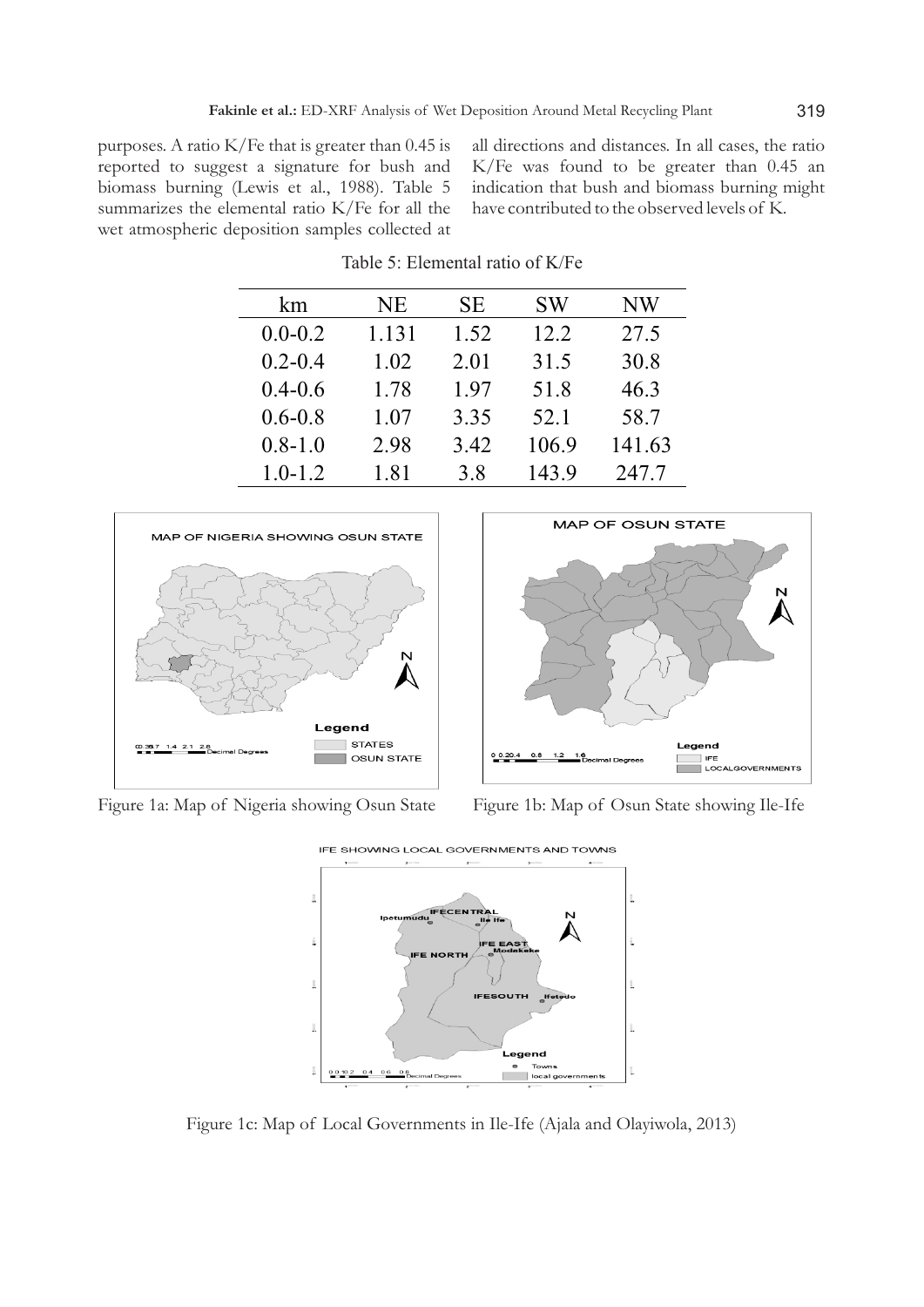purposes. A ratio K/Fe that is greater than 0.45 is reported to suggest a signature for bush and biomass burning (Lewis et al., 1988). Table 5 summarizes the elemental ratio K/Fe for all the wet atmospheric deposition samples collected at all directions and distances. In all cases, the ratio K/Fe was found to be greater than 0.45 an indication that bush and biomass burning might have contributed to the observed levels of K.

| km          | NE    | <b>SE</b> | <b>SW</b> | NW     |
|-------------|-------|-----------|-----------|--------|
| $0.0 - 0.2$ | 1.131 | 1.52      | 12.2      | 27.5   |
| $0.2 - 0.4$ | 1.02  | 2.01      | 31.5      | 30.8   |
| $0.4 - 0.6$ | 1.78  | 1.97      | 51.8      | 46.3   |
| $0.6 - 0.8$ | 1.07  | 3.35      | 52.1      | 58.7   |
| $0.8 - 1.0$ | 2.98  | 3.42      | 106.9     | 141.63 |
| $1.0 - 1.2$ | 1.81  | 3.8       | 143.9     | 247.7  |

Table 5: Elemental ratio of K/Fe



Figure 1a: Map of Nigeria showing Osun State Figure 1b: Map of Osun State showing Ile-Ife





Figure 1c: Map of Local Governments in Ile-Ife (Ajala and Olayiwola, 2013)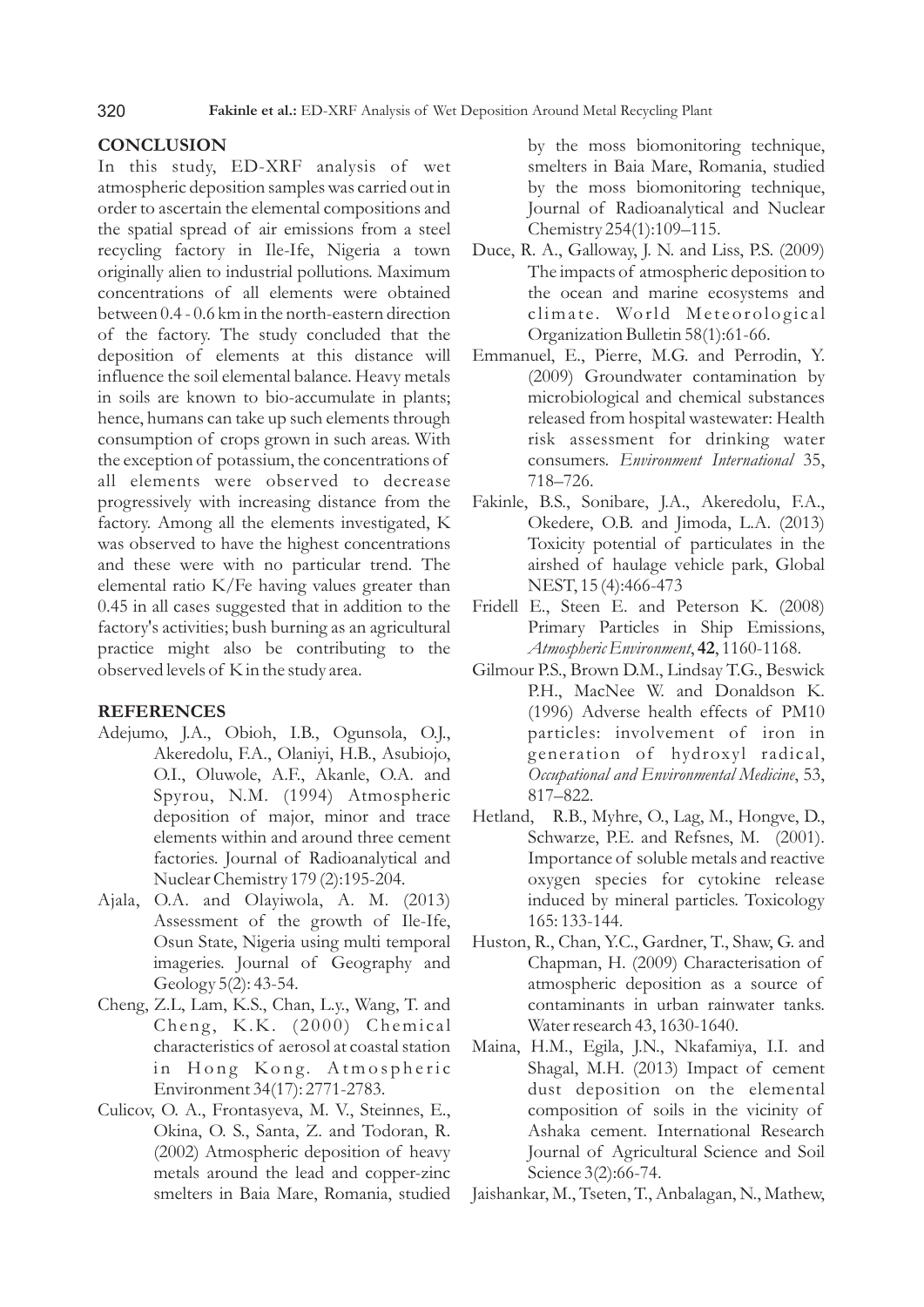# **CONCLUSION**

In this study, ED-XRF analysis of wet atmospheric deposition samples was carried out in order to ascertain the elemental compositions and the spatial spread of air emissions from a steel recycling factory in Ile-Ife, Nigeria a town originally alien to industrial pollutions. Maximum concentrations of all elements were obtained between 0.4 - 0.6 km in the north-eastern direction of the factory. The study concluded that the deposition of elements at this distance will influence the soil elemental balance. Heavy metals in soils are known to bio-accumulate in plants; hence, humans can take up such elements through consumption of crops grown in such areas. With the exception of potassium, the concentrations of all elements were observed to decrease progressively with increasing distance from the factory. Among all the elements investigated, K was observed to have the highest concentrations and these were with no particular trend. The elemental ratio K/Fe having values greater than 0.45 in all cases suggested that in addition to the factory's activities; bush burning as an agricultural practice might also be contributing to the observed levels of K in the study area.

# **REFERENCES**

- Adejumo, J.A., Obioh, I.B., Ogunsola, O.J., Akeredolu, F.A., Olaniyi, H.B., Asubiojo, O.I., Oluwole, A.F., Akanle, O.A. and Spyrou, N.M. (1994) Atmospheric deposition of major, minor and trace elements within and around three cement factories. Journal of Radioanalytical and Nuclear Chemistry 179 (2):195-204.
- Ajala, O.A. and Olayiwola, A. M. (2013) Assessment of the growth of Ile-Ife, Osun State, Nigeria using multi temporal imageries. Journal of Geography and Geology 5(2): 43-54.
- Cheng, Z.L, Lam, K.S., Chan, L.y., Wang, T. and Cheng, K.K. (2000) Chemical characteristics of aerosol at coastal station in Hong Kong. Atmospheric Environment 34(17): 2771-2783.
- Culicov, O. A., Frontasyeva, M. V., Steinnes, E., Okina, O. S., Santa, Z. and Todoran, R. (2002) Atmospheric deposition of heavy metals around the lead and copper-zinc smelters in Baia Mare, Romania, studied

by the moss biomonitoring technique, smelters in Baia Mare, Romania, studied by the moss biomonitoring technique, Journal of Radioanalytical and Nuclear Chemistry 254(1):109–115.

- Duce, R. A., Galloway, J. N. and Liss, P.S. (2009) The impacts of atmospheric deposition to the ocean and marine ecosystems and climate. World Meteorological Organization Bulletin 58(1):61-66.
- Emmanuel, E., Pierre, M.G. and Perrodin, Y. (2009) Groundwater contamination by microbiological and chemical substances released from hospital wastewater: Health risk assessment for drinking water consumers. *Environment International* 35, 718–726.
- Fakinle, B.S., Sonibare, J.A., Akeredolu, F.A., Okedere, O.B. and Jimoda, L.A. (2013) Toxicity potential of particulates in the airshed of haulage vehicle park, Global NEST, 15 (4):466-473
- Fridell E., Steen E. and Peterson K. (2008) Primary Particles in Ship Emissions, *Atmospheric Environment*, **42**, 1160-1168.
- Gilmour P.S., Brown D.M., Lindsay T.G., Beswick P.H., MacNee W. and Donaldson K. (1996) Adverse health effects of PM10 particles: involvement of iron in generation of hydroxyl radical, *Occupational and Environmental Medicine*, 53, 817–822.
- Hetland, R.B., Myhre, O., Lag, M., Hongve, D., Schwarze, P.E. and Refsnes, M. (2001). Importance of soluble metals and reactive oxygen species for cytokine release induced by mineral particles. Toxicology 165: 133-144.
- Huston, R., Chan, Y.C., Gardner, T., Shaw, G. and Chapman, H. (2009) Characterisation of atmospheric deposition as a source of contaminants in urban rainwater tanks. Water research 43, 1630-1640.
- Maina, H.M., Egila, J.N., Nkafamiya, I.I. and Shagal, M.H. (2013) Impact of cement dust deposition on the elemental composition of soils in the vicinity of Ashaka cement. International Research Journal of Agricultural Science and Soil Science 3(2):66-74.

Jaishankar, M., Tseten, T., Anbalagan, N., Mathew,